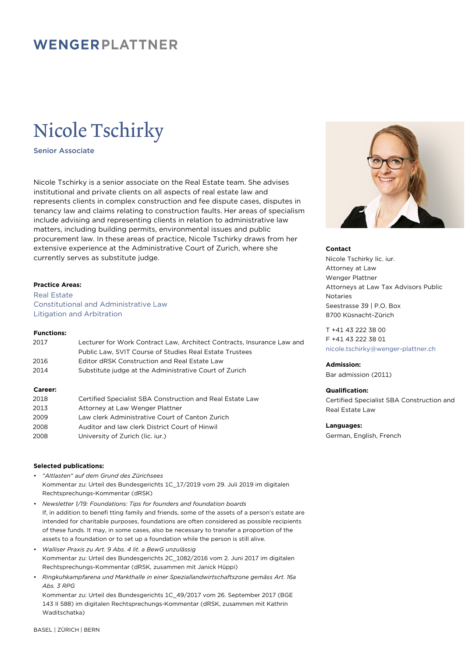# WENGERPLATTNER

# Nicole Tschirky

Senior Associate

Nicole Tschirky is a senior associate on the Real Estate team. She advises institutional and private clients on all aspects of real estate law and represents clients in complex construction and fee dispute cases, disputes in tenancy law and claims relating to construction faults. Her areas of specialism include advising and representing clients in relation to administrative law matters, including building permits, environmental issues and public procurement law. In these areas of practice, Nicole Tschirky draws from her extensive experience at the Administrative Court of Zurich, where she currently serves as substitute judge.

## **Practice Areas:**

Real Estate Constitutional and Administrative Law Litigation and Arbitration

# **Functions:**

| 2017 | Lecturer for Work Contract Law, Architect Contracts, Insurance Law and |
|------|------------------------------------------------------------------------|
|      | Public Law. SVIT Course of Studies Real Estate Trustees                |
| 2016 | Editor dRSK Construction and Real Estate Law                           |
| 2014 | Substitute judge at the Administrative Court of Zurich                 |
|      |                                                                        |

## **Career:**

| 2018 | Certified Specialist SBA Construction and Real Estate Law |
|------|-----------------------------------------------------------|
| 2013 | Attorney at Law Wenger Plattner                           |
| 2009 | Law clerk Administrative Court of Canton Zurich           |
| 2008 | Auditor and law clerk District Court of Hinwil            |
| 2008 | University of Zurich (lic. jur.)                          |

# **Selected publications:**

- *"Altlasten" auf dem Grund des Zürichsees* Kommentar zu: Urteil des Bundesgerichts 1C\_17/2019 vom 29. Juli 2019 im digitalen Rechtsprechungs-Kommentar (dRSK)
- *Newsletter 1/19: Foundations: Tips for founders and foundation boards* If, in addition to benefi tting family and friends, some of the assets of a person's estate are intended for charitable purposes, foundations are often considered as possible recipients of these funds. It may, in some cases, also be necessary to transfer a proportion of the assets to a foundation or to set up a foundation while the person is still alive.
- *Walliser Praxis zu Art. 9 Abs. 4 lit. a BewG unzulässig* Kommentar zu: Urteil des Bundesgerichts 2C\_1082/2016 vom 2. Juni 2017 im digitalen Rechtsprechungs-Kommentar (dRSK, zusammen mit Janick Hüppi)
- *Ringkuhkampfarena und Markthalle in einer Speziallandwirtschaftszone gemäss Art. 16a Abs. 3 RPG*

Kommentar zu: Urteil des Bundesgerichts 1C\_49/2017 vom 26. September 2017 (BGE 143 II 588) im digitalen Rechtsprechungs-Kommentar (dRSK, zusammen mit Kathrin Waditschatka)



#### **Contact**

Nicole Tschirky lic. iur. Attorney at Law Wenger Plattner Attorneys at Law Tax Advisors Public Notaries Seestrasse 39 | P.O. Box 8700 Küsnacht-Zürich

T +41 43 222 38 00 F +41 43 222 38 01 [nicole.tschirky@wenger-plattner.ch](mailto:nicole.tschirky@wenger-plattner.ch)

# **Admission:**

Bar admission (2011)

## **Qualification:**

Certified Specialist SBA Construction and Real Estate Law

#### **Languages:**

German, English, French